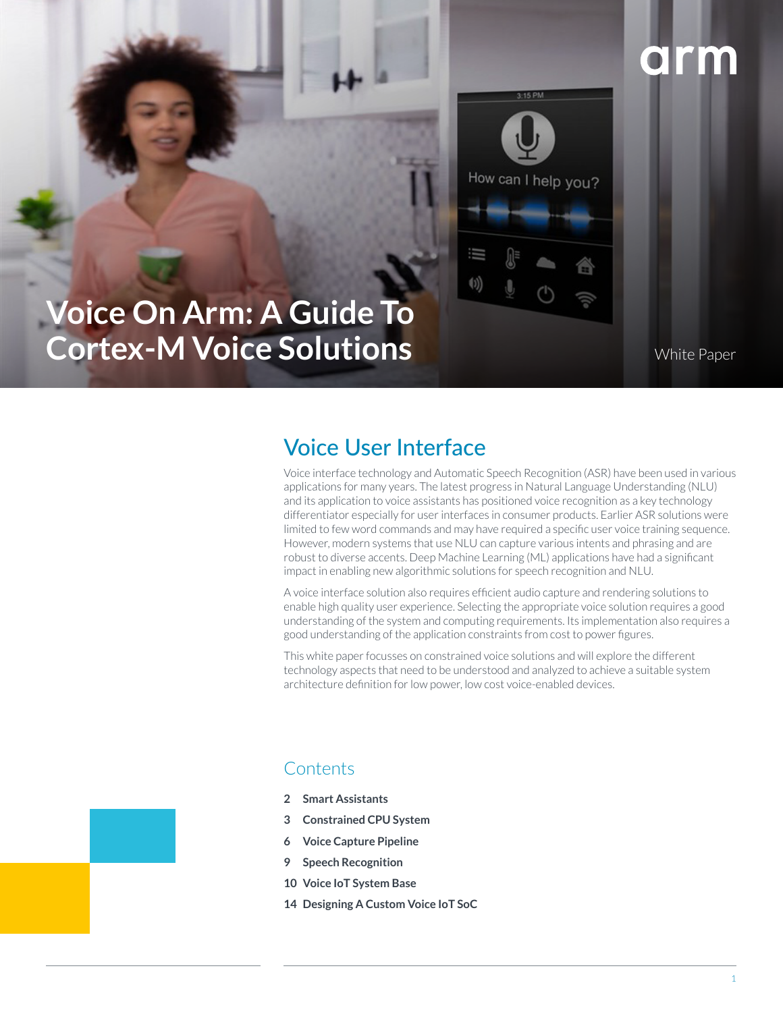# arm



## **Voice On Arm: A Guide To Cortex-M Voice Solutions**

White Paper

### Voice User Interface

Voice interface technology and Automatic Speech Recognition (ASR) have been used in various applications for many years. The latest progress in Natural Language Understanding (NLU) and its application to voice assistants has positioned voice recognition as a key technology differentiator especially for user interfaces in consumer products. Earlier ASR solutions were limited to few word commands and may have required a specific user voice training sequence. However, modern systems that use NLU can capture various intents and phrasing and are robust to diverse accents. Deep Machine Learning (ML) applications have had a significant impact in enabling new algorithmic solutions for speech recognition and NLU.

A voice interface solution also requires efficient audio capture and rendering solutions to enable high quality user experience. Selecting the appropriate voice solution requires a good understanding of the system and computing requirements. Its implementation also requires a good understanding of the application constraints from cost to power figures.

This white paper focusses on constrained voice solutions and will explore the different technology aspects that need to be understood and analyzed to achieve a suitable system architecture definition for low power, low cost voice-enabled devices.

### **Contents**

- **2 Smart Assistants**
- **3 Constrained CPU System**
- **6 Voice Capture Pipeline**
- **9 Speech Recognition**
- **10 Voice IoT System Base**
- **14 Designing A Custom Voice IoT SoC**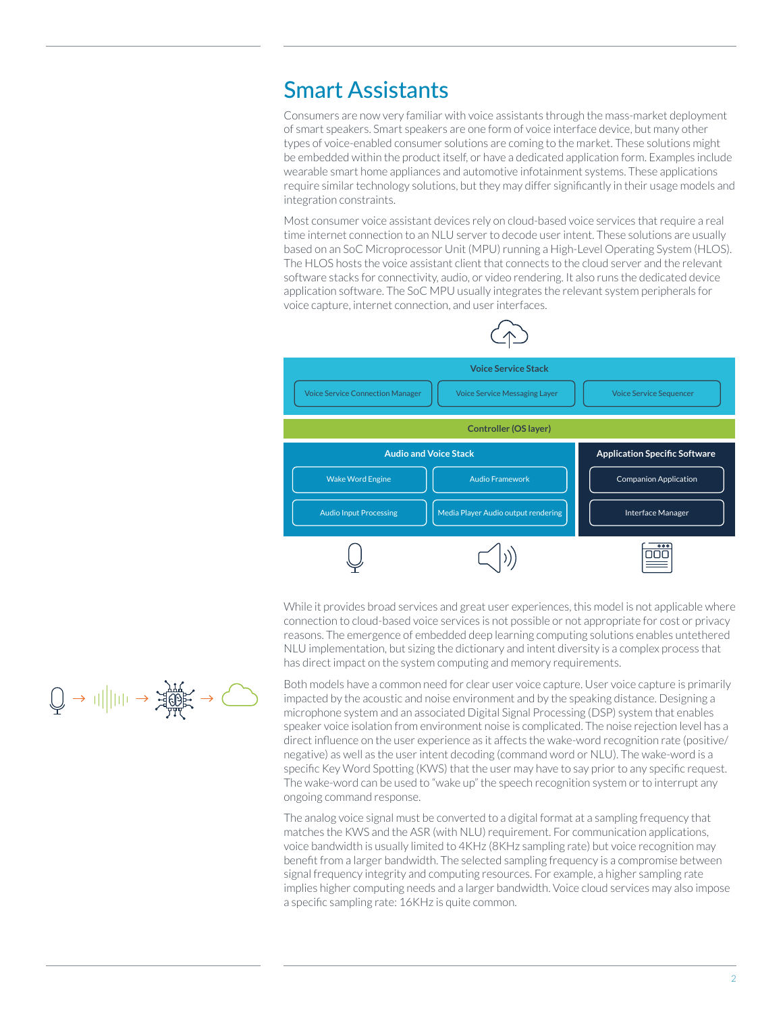### Smart Assistants

Consumers are now very familiar with voice assistants through the mass-market deployment of smart speakers. Smart speakers are one form of voice interface device, but many other types of voice-enabled consumer solutions are coming to the market. These solutions might be embedded within the product itself, or have a dedicated application form. Examples include wearable smart home appliances and automotive infotainment systems. These applications require similar technology solutions, but they may differ significantly in their usage models and integration constraints.

Most consumer voice assistant devices rely on cloud-based voice services that require a real time internet connection to an NLU server to decode user intent. These solutions are usually based on an SoC Microprocessor Unit (MPU) running a High-Level Operating System (HLOS). The HLOS hosts the voice assistant client that connects to the cloud server and the relevant software stacks for connectivity, audio, or video rendering. It also runs the dedicated device application software. The SoC MPU usually integrates the relevant system peripherals for voice capture, internet connection, and user interfaces.



While it provides broad services and great user experiences, this model is not applicable where connection to cloud-based voice services is not possible or not appropriate for cost or privacy reasons. The emergence of embedded deep learning computing solutions enables untethered NLU implementation, but sizing the dictionary and intent diversity is a complex process that has direct impact on the system computing and memory requirements.

Both models have a common need for clear user voice capture. User voice capture is primarily impacted by the acoustic and noise environment and by the speaking distance. Designing a microphone system and an associated Digital Signal Processing (DSP) system that enables speaker voice isolation from environment noise is complicated. The noise rejection level has a direct influence on the user experience as it affects the wake-word recognition rate (positive/ negative) as well as the user intent decoding (command word or NLU). The wake-word is a specific Key Word Spotting (KWS) that the user may have to say prior to any specific request. The wake-word can be used to "wake up" the speech recognition system or to interrupt any ongoing command response.

The analog voice signal must be converted to a digital format at a sampling frequency that matches the KWS and the ASR (with NLU) requirement. For communication applications, voice bandwidth is usually limited to 4KHz (8KHz sampling rate) but voice recognition may benefit from a larger bandwidth. The selected sampling frequency is a compromise between signal frequency integrity and computing resources. For example, a higher sampling rate implies higher computing needs and a larger bandwidth. Voice cloud services may also impose a specific sampling rate: 16KHz is quite common.

$$
\text{supp} \rightarrow \text{supp} \rightarrow \text{supp} \rightarrow \text{supp} \rightarrow \text{supp} \rightarrow \text{supp} \rightarrow \text{supp} \rightarrow \text{supp} \rightarrow \text{supp} \rightarrow \text{supp} \rightarrow \text{supp} \rightarrow \text{supp} \rightarrow \text{supp} \rightarrow \text{supp} \rightarrow \text{supp} \rightarrow \text{supp} \rightarrow \text{supp} \rightarrow \text{supp} \rightarrow \text{supp} \rightarrow \text{supp} \rightarrow \text{supp} \rightarrow \text{supp} \rightarrow \text{supp} \rightarrow \text{supp} \rightarrow \text{supp} \rightarrow \text{supp} \rightarrow \text{supp} \rightarrow \text{supp} \rightarrow \text{supp} \rightarrow \text{supp} \rightarrow \text{supp} \rightarrow \text{supp} \rightarrow \text{supp} \rightarrow \text{supp} \rightarrow \text{supp} \rightarrow \text{supp} \rightarrow \text{supp} \rightarrow \text{supp} \rightarrow \text{supp} \rightarrow \text{supp} \rightarrow \text{supp} \rightarrow \text{supp} \rightarrow \text{supp} \rightarrow \text{supp} \rightarrow \text{supp} \rightarrow \text{supp} \rightarrow \text{supp} \rightarrow \text{supp} \rightarrow \text{supp} \rightarrow \text{supp} \rightarrow \text{supp} \rightarrow \text{supp} \rightarrow \text{supp} \rightarrow \text{supp} \rightarrow \text{supp} \rightarrow \text{supp} \rightarrow \text{supp} \rightarrow \text{supp} \rightarrow \text{supp} \rightarrow \text{supp} \rightarrow \text{supp} \rightarrow \text{supp} \rightarrow \text{supp} \rightarrow \text{supp} \rightarrow \text{supp} \rightarrow \text{supp} \rightarrow \text{supp} \rightarrow \text{supp} \rightarrow \text{supp} \rightarrow \text{supp} \rightarrow \text{supp} \rightarrow \text{supp} \rightarrow \text{supp} \rightarrow \text{supp} \rightarrow \text{supp} \rightarrow \text{supp} \rightarrow \text{supp} \rightarrow \text{supp} \rightarrow \text{supp} \rightarrow \text{supp} \rightarrow \text{supp} \rightarrow \text{supp} \rightarrow \text{supp} \rightarrow \text{supp} \rightarrow \text{supp} \rightarrow \text{supp} \rightarrow \text{supp} \rightarrow \text{supp} \rightarrow \text{supp} \rightarrow \text{supp} \rightarrow \text{supp} \rightarrow \text{supp} \rightarrow \text{supp} \rightarrow \text{supp} \rightarrow \text{supp} \rightarrow
$$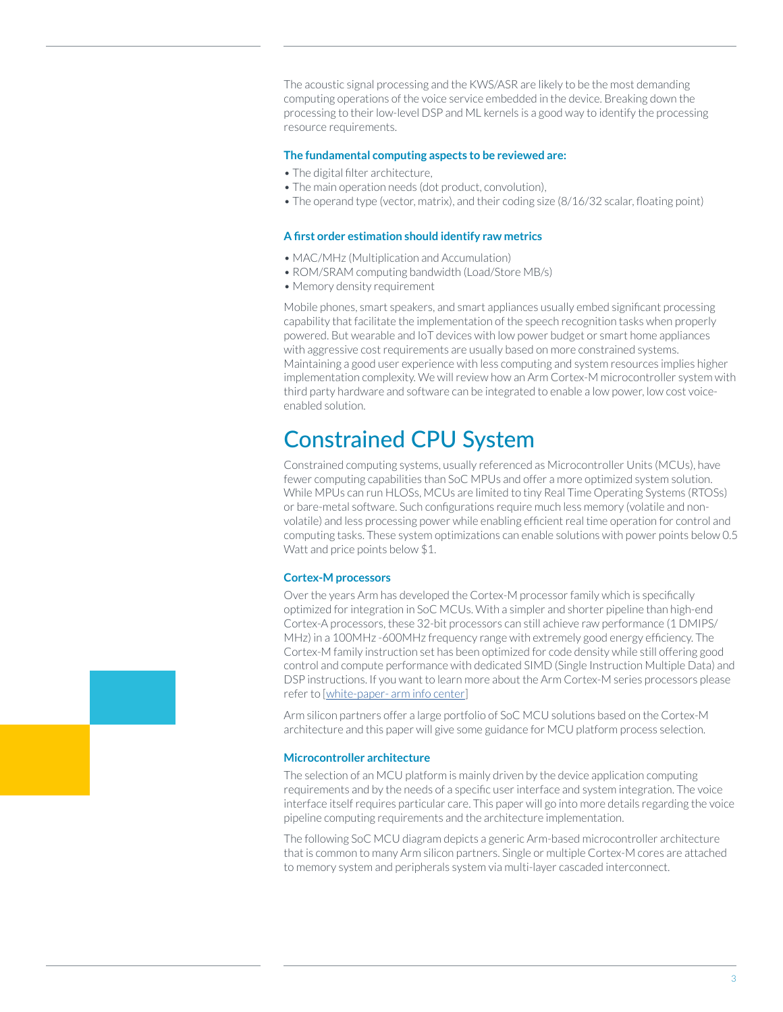The acoustic signal processing and the KWS/ASR are likely to be the most demanding computing operations of the voice service embedded in the device. Breaking down the processing to their low-level DSP and ML kernels is a good way to identify the processing resource requirements.

#### **The fundamental computing aspects to be reviewed are:**

- The digital filter architecture,
- The main operation needs (dot product, convolution),
- The operand type (vector, matrix), and their coding size (8/16/32 scalar, floating point)

#### **A first order estimation should identify raw metrics**

- MAC/MHz (Multiplication and Accumulation)
- ROM/SRAM computing bandwidth (Load/Store MB/s)
- Memory density requirement

Mobile phones, smart speakers, and smart appliances usually embed significant processing capability that facilitate the implementation of the speech recognition tasks when properly powered. But wearable and IoT devices with low power budget or smart home appliances with aggressive cost requirements are usually based on more constrained systems. Maintaining a good user experience with less computing and system resources implies higher implementation complexity. We will review how an Arm Cortex-M microcontroller system with third party hardware and software can be integrated to enable a low power, low cost voiceenabled solution.

### Constrained CPU System

Constrained computing systems, usually referenced as Microcontroller Units (MCUs), have fewer computing capabilities than SoC MPUs and offer a more optimized system solution. While MPUs can run HLOSs, MCUs are limited to tiny Real Time Operating Systems (RTOSs) or bare-metal software. Such configurations require much less memory (volatile and nonvolatile) and less processing power while enabling efficient real time operation for control and computing tasks. These system optimizations can enable solutions with power points below 0.5 Watt and price points below \$1.

#### **Cortex-M processors**

Over the years Arm has developed the Cortex-M processor family which is specifically optimized for integration in SoC MCUs. With a simpler and shorter pipeline than high-end Cortex-A processors, these 32-bit processors can still achieve raw performance (1 DMIPS/ MHz) in a 100MHz -600MHz frequency range with extremely good energy efficiency. The Cortex-M family instruction set has been optimized for code density while still offering good control and compute performance with dedicated SIMD (Single Instruction Multiple Data) and DSP instructions. If you want to learn more about the Arm Cortex-M series processors please refer to [white-paper- arm info center]

Arm silicon partners offer a large portfolio of SoC MCU solutions based on the Cortex-M architecture and this paper will give some guidance for MCU platform process selection.

#### **Microcontroller architecture**

The selection of an MCU platform is mainly driven by the device application computing requirements and by the needs of a specific user interface and system integration. The voice interface itself requires particular care. This paper will go into more details regarding the voice pipeline computing requirements and the architecture implementation.

The following SoC MCU diagram depicts a generic Arm-based microcontroller architecture that is common to many Arm silicon partners. Single or multiple Cortex-M cores are attached to memory system and peripherals system via multi-layer cascaded interconnect.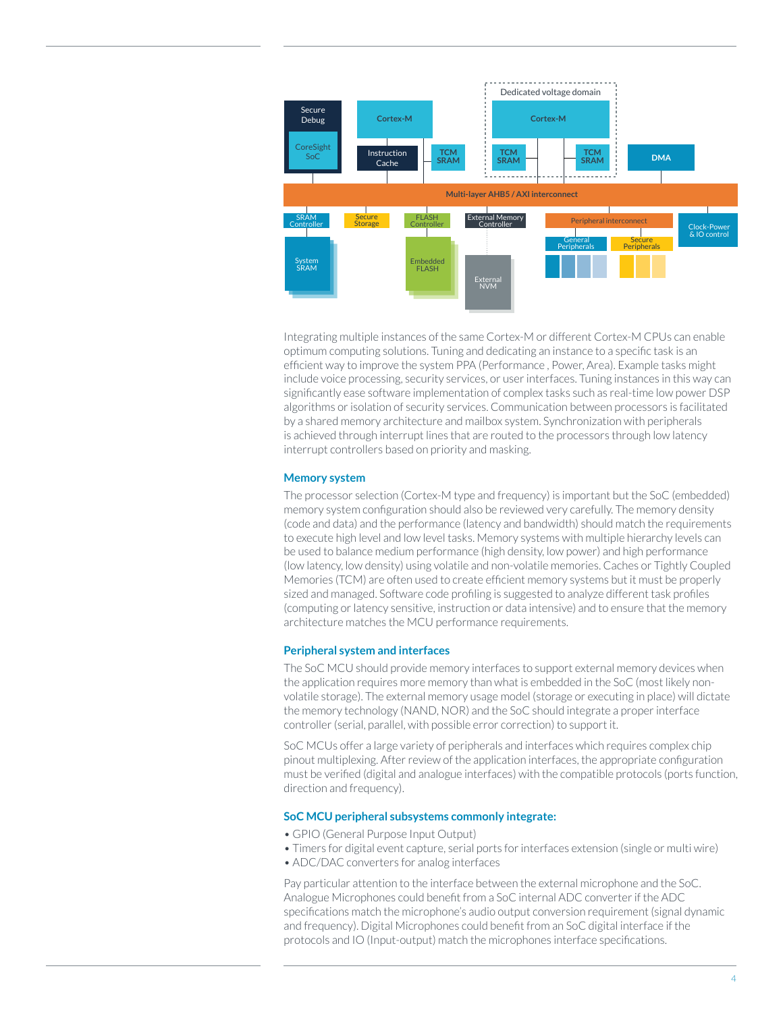

Integrating multiple instances of the same Cortex-M or different Cortex-M CPUs can enable optimum computing solutions. Tuning and dedicating an instance to a specific task is an efficient way to improve the system PPA (Performance , Power, Area). Example tasks might include voice processing, security services, or user interfaces. Tuning instances in this way can significantly ease software implementation of complex tasks such as real-time low power DSP algorithms or isolation of security services. Communication between processors is facilitated by a shared memory architecture and mailbox system. Synchronization with peripherals is achieved through interrupt lines that are routed to the processors through low latency interrupt controllers based on priority and masking.

#### **Memory system**

The processor selection (Cortex-M type and frequency) is important but the SoC (embedded) memory system configuration should also be reviewed very carefully. The memory density (code and data) and the performance (latency and bandwidth) should match the requirements to execute high level and low level tasks. Memory systems with multiple hierarchy levels can be used to balance medium performance (high density, low power) and high performance (low latency, low density) using volatile and non-volatile memories. Caches or Tightly Coupled Memories (TCM) are often used to create efficient memory systems but it must be properly sized and managed. Software code profiling is suggested to analyze different task profiles (computing or latency sensitive, instruction or data intensive) and to ensure that the memory architecture matches the MCU performance requirements.

#### **Peripheral system and interfaces**

The SoC MCU should provide memory interfaces to support external memory devices when the application requires more memory than what is embedded in the SoC (most likely nonvolatile storage). The external memory usage model (storage or executing in place) will dictate the memory technology (NAND, NOR) and the SoC should integrate a proper interface controller (serial, parallel, with possible error correction) to support it.

SoC MCUs offer a large variety of peripherals and interfaces which requires complex chip pinout multiplexing. After review of the application interfaces, the appropriate configuration must be verified (digital and analogue interfaces) with the compatible protocols (ports function, direction and frequency).

#### **SoC MCU peripheral subsystems commonly integrate:**

- GPIO (General Purpose Input Output)
- Timers for digital event capture, serial ports for interfaces extension (single or multi wire)
- ADC/DAC converters for analog interfaces

Pay particular attention to the interface between the external microphone and the SoC. Analogue Microphones could benefit from a SoC internal ADC converter if the ADC specifications match the microphone's audio output conversion requirement (signal dynamic and frequency). Digital Microphones could benefit from an SoC digital interface if the protocols and IO (Input-output) match the microphones interface specifications.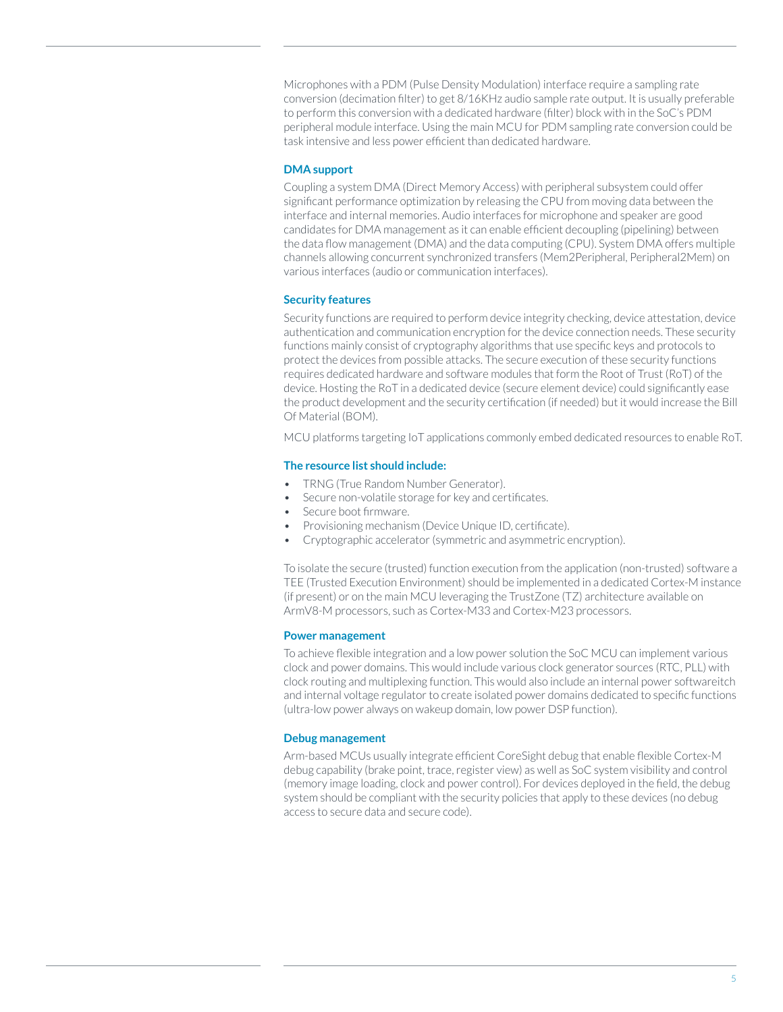Microphones with a PDM (Pulse Density Modulation) interface require a sampling rate conversion (decimation filter) to get 8/16KHz audio sample rate output. It is usually preferable to perform this conversion with a dedicated hardware (filter) block with in the SoC's PDM peripheral module interface. Using the main MCU for PDM sampling rate conversion could be task intensive and less power efficient than dedicated hardware.

#### **DMA support**

Coupling a system DMA (Direct Memory Access) with peripheral subsystem could offer significant performance optimization by releasing the CPU from moving data between the interface and internal memories. Audio interfaces for microphone and speaker are good candidates for DMA management as it can enable efficient decoupling (pipelining) between the data flow management (DMA) and the data computing (CPU). System DMA offers multiple channels allowing concurrent synchronized transfers (Mem2Peripheral, Peripheral2Mem) on various interfaces (audio or communication interfaces).

#### **Security features**

Security functions are required to perform device integrity checking, device attestation, device authentication and communication encryption for the device connection needs. These security functions mainly consist of cryptography algorithms that use specific keys and protocols to protect the devices from possible attacks. The secure execution of these security functions requires dedicated hardware and software modules that form the Root of Trust (RoT) of the device. Hosting the RoT in a dedicated device (secure element device) could significantly ease the product development and the security certification (if needed) but it would increase the Bill Of Material (BOM).

MCU platforms targeting IoT applications commonly embed dedicated resources to enable RoT.

#### **The resource list should include:**

- TRNG (True Random Number Generator).
- Secure non-volatile storage for key and certificates.
- Secure boot firmware.
- Provisioning mechanism (Device Unique ID, certificate).
- Cryptographic accelerator (symmetric and asymmetric encryption).

To isolate the secure (trusted) function execution from the application (non-trusted) software a TEE (Trusted Execution Environment) should be implemented in a dedicated Cortex-M instance (if present) or on the main MCU leveraging the TrustZone (TZ) architecture available on ArmV8-M processors, such as Cortex-M33 and Cortex-M23 processors.

#### **Power management**

To achieve flexible integration and a low power solution the SoC MCU can implement various clock and power domains. This would include various clock generator sources (RTC, PLL) with clock routing and multiplexing function. This would also include an internal power softwareitch and internal voltage regulator to create isolated power domains dedicated to specific functions (ultra-low power always on wakeup domain, low power DSP function).

#### **Debug management**

Arm-based MCUs usually integrate efficient CoreSight debug that enable flexible Cortex-M debug capability (brake point, trace, register view) as well as SoC system visibility and control (memory image loading, clock and power control). For devices deployed in the field, the debug system should be compliant with the security policies that apply to these devices (no debug access to secure data and secure code).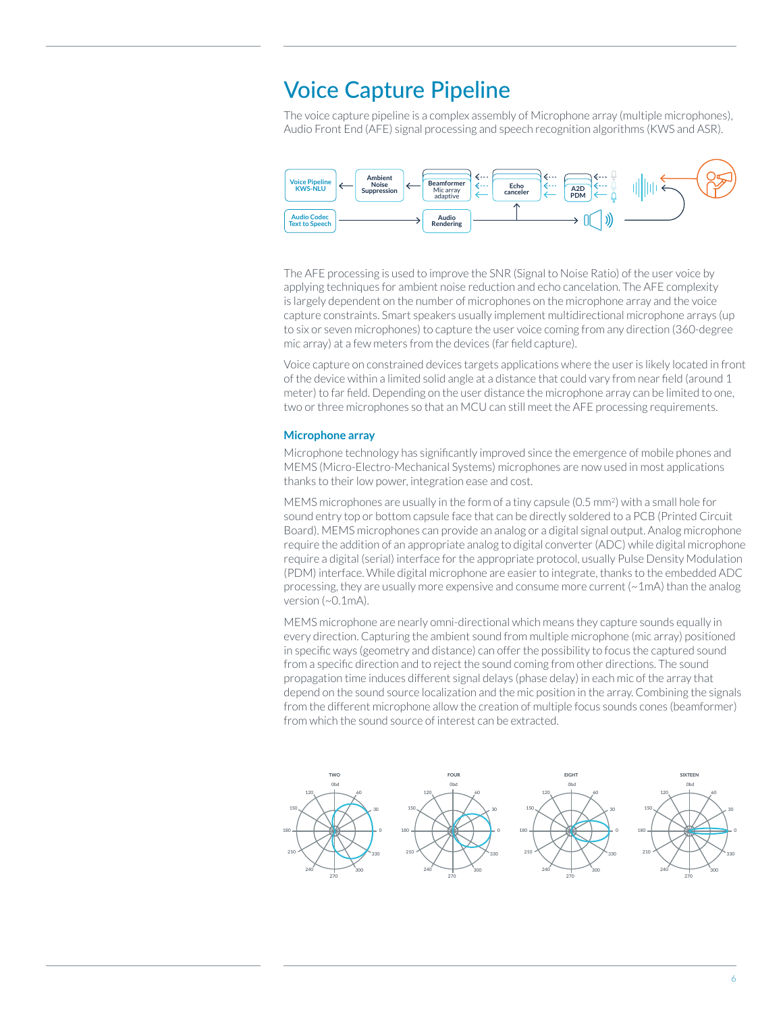### Voice Capture Pipeline

The voice capture pipeline is a complex assembly of Microphone array (multiple microphones), Audio Front End (AFE) signal processing and speech recognition algorithms (KWS and ASR).



The AFE processing is used to improve the SNR (Signal to Noise Ratio) of the user voice by applying techniques for ambient noise reduction and echo cancelation. The AFE complexity is largely dependent on the number of microphones on the microphone array and the voice capture constraints. Smart speakers usually implement multidirectional microphone arrays (up to six or seven microphones) to capture the user voice coming from any direction (360-degree mic array) at a few meters from the devices (far field capture).

Voice capture on constrained devices targets applications where the user is likely located in front of the device within a limited solid angle at a distance that could vary from near field (around 1 meter) to far field. Depending on the user distance the microphone array can be limited to one, two or three microphones so that an MCU can still meet the AFE processing requirements.

#### **Microphone array**

Microphone technology has significantly improved since the emergence of mobile phones and MEMS (Micro-Electro-Mechanical Systems) microphones are now used in most applications thanks to their low power, integration ease and cost.

MEMS microphones are usually in the form of a tiny capsule (0.5 mm2) with a small hole for sound entry top or bottom capsule face that can be directly soldered to a PCB (Printed Circuit Board). MEMS microphones can provide an analog or a digital signal output. Analog microphone require the addition of an appropriate analog to digital converter (ADC) while digital microphone require a digital (serial) interface for the appropriate protocol, usually Pulse Density Modulation (PDM) interface. While digital microphone are easier to integrate, thanks to the embedded ADC processing, they are usually more expensive and consume more current  $\sim 1$ mA) than the analog version (~0.1mA).

MEMS microphone are nearly omni-directional which means they capture sounds equally in every direction. Capturing the ambient sound from multiple microphone (mic array) positioned in specific ways (geometry and distance) can offer the possibility to focus the captured sound from a specific direction and to reject the sound coming from other directions. The sound propagation time induces different signal delays (phase delay) in each mic of the array that depend on the sound source localization and the mic position in the array. Combining the signals from the different microphone allow the creation of multiple focus sounds cones (beamformer) from which the sound source of interest can be extracted.

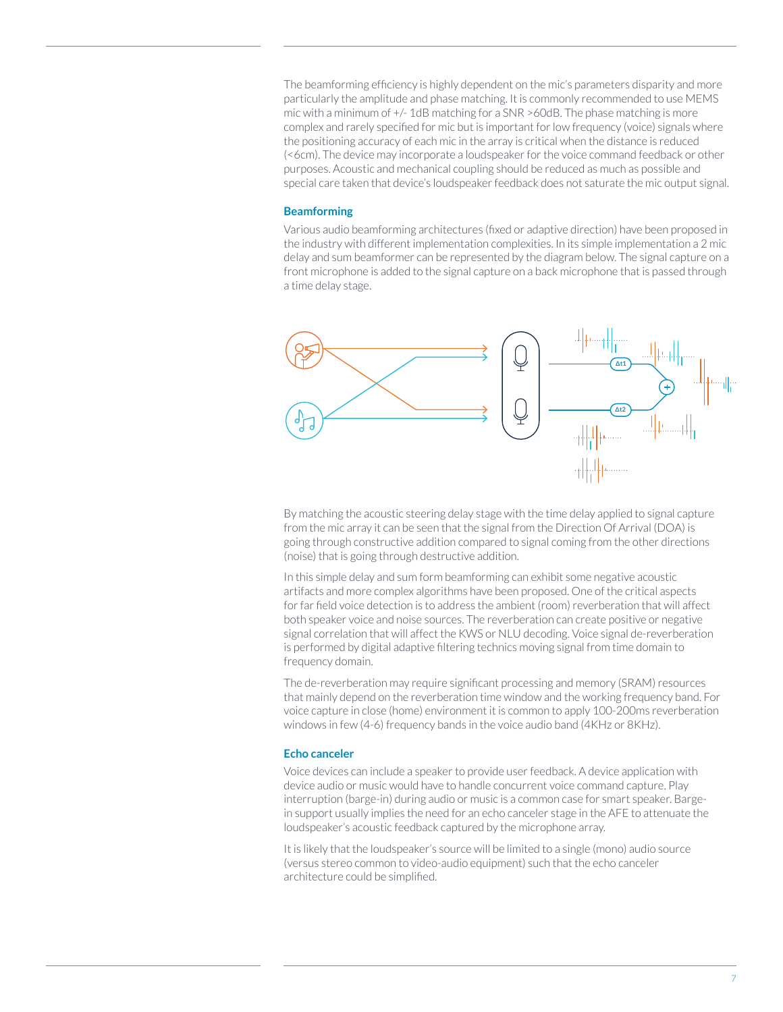The beamforming efficiency is highly dependent on the mic's parameters disparity and more particularly the amplitude and phase matching. It is commonly recommended to use MEMS mic with a minimum of +/- 1dB matching for a SNR >60dB. The phase matching is more complex and rarely specified for mic but is important for low frequency (voice) signals where the positioning accuracy of each mic in the array is critical when the distance is reduced (<6cm). The device may incorporate a loudspeaker for the voice command feedback or other purposes. Acoustic and mechanical coupling should be reduced as much as possible and special care taken that device's loudspeaker feedback does not saturate the mic output signal.

#### **Beamforming**

Various audio beamforming architectures (fixed or adaptive direction) have been proposed in the industry with different implementation complexities. In its simple implementation a 2 mic delay and sum beamformer can be represented by the diagram below. The signal capture on a front microphone is added to the signal capture on a back microphone that is passed through a time delay stage.



By matching the acoustic steering delay stage with the time delay applied to signal capture from the mic array it can be seen that the signal from the Direction Of Arrival (DOA) is going through constructive addition compared to signal coming from the other directions (noise) that is going through destructive addition.

In this simple delay and sum form beamforming can exhibit some negative acoustic artifacts and more complex algorithms have been proposed. One of the critical aspects for far field voice detection is to address the ambient (room) reverberation that will affect both speaker voice and noise sources. The reverberation can create positive or negative signal correlation that will affect the KWS or NLU decoding. Voice signal de-reverberation is performed by digital adaptive filtering technics moving signal from time domain to frequency domain.

The de-reverberation may require significant processing and memory (SRAM) resources that mainly depend on the reverberation time window and the working frequency band. For voice capture in close (home) environment it is common to apply 100-200ms reverberation windows in few (4-6) frequency bands in the voice audio band (4KHz or 8KHz).

#### **Echo canceler**

Voice devices can include a speaker to provide user feedback. A device application with device audio or music would have to handle concurrent voice command capture. Play interruption (barge-in) during audio or music is a common case for smart speaker. Bargein support usually implies the need for an echo canceler stage in the AFE to attenuate the loudspeaker's acoustic feedback captured by the microphone array.

It is likely that the loudspeaker's source will be limited to a single (mono) audio source (versus stereo common to video-audio equipment) such that the echo canceler architecture could be simplified.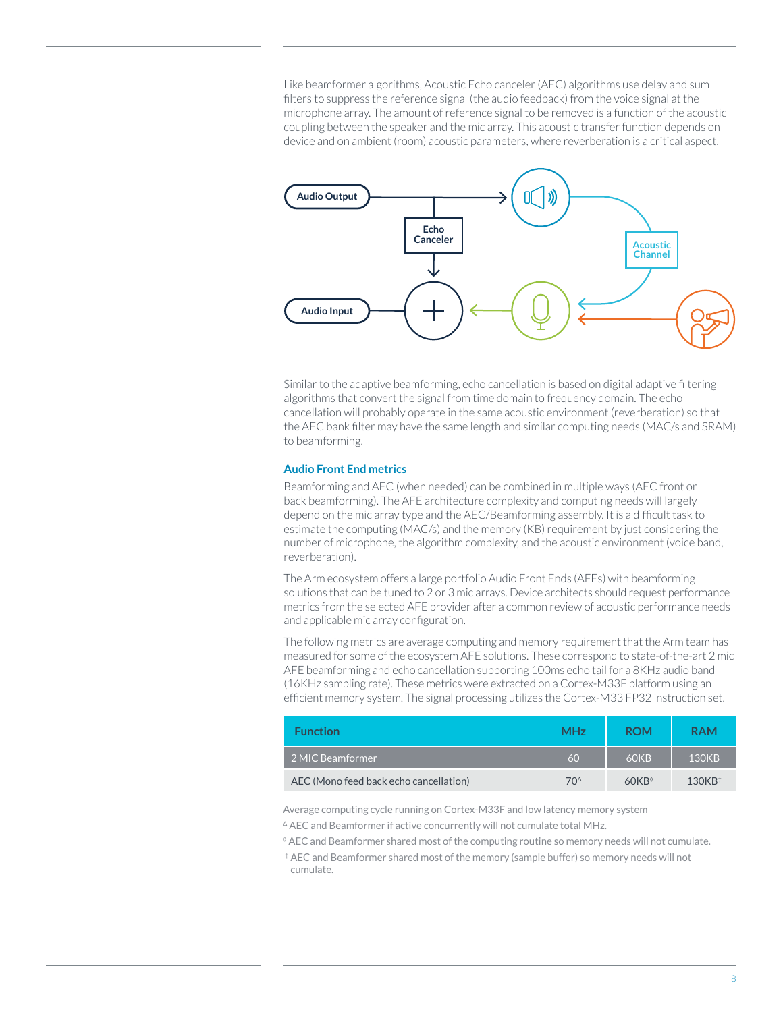Like beamformer algorithms, Acoustic Echo canceler (AEC) algorithms use delay and sum filters to suppress the reference signal (the audio feedback) from the voice signal at the microphone array. The amount of reference signal to be removed is a function of the acoustic coupling between the speaker and the mic array. This acoustic transfer function depends on device and on ambient (room) acoustic parameters, where reverberation is a critical aspect.



Similar to the adaptive beamforming, echo cancellation is based on digital adaptive filtering algorithms that convert the signal from time domain to frequency domain. The echo cancellation will probably operate in the same acoustic environment (reverberation) so that the AEC bank filter may have the same length and similar computing needs (MAC/s and SRAM) to beamforming.

#### **Audio Front End metrics**

Beamforming and AEC (when needed) can be combined in multiple ways (AEC front or back beamforming). The AFE architecture complexity and computing needs will largely depend on the mic array type and the AEC/Beamforming assembly. It is a difficult task to estimate the computing (MAC/s) and the memory (KB) requirement by just considering the number of microphone, the algorithm complexity, and the acoustic environment (voice band, reverberation).

The Arm ecosystem offers a large portfolio Audio Front Ends (AFEs) with beamforming solutions that can be tuned to 2 or 3 mic arrays. Device architects should request performance metrics from the selected AFE provider after a common review of acoustic performance needs and applicable mic array configuration.

The following metrics are average computing and memory requirement that the Arm team has measured for some of the ecosystem AFE solutions. These correspond to state-of-the-art 2 mic AFE beamforming and echo cancellation supporting 100ms echo tail for a 8KHz audio band (16KHz sampling rate). These metrics were extracted on a Cortex-M33F platform using an efficient memory system. The signal processing utilizes the Cortex-M33 FP32 instruction set.

| <b>Function</b>                        | <b>MHz</b>      | <b>ROM</b>                           | <b>RAM</b> |
|----------------------------------------|-----------------|--------------------------------------|------------|
| 2 MIC Beamformer                       | 60              | <b>60KB</b>                          | 130KB      |
| AEC (Mono feed back echo cancellation) | 70 <sup>4</sup> | $60KR$ <sup><math>\circ</math></sup> | $130KB^+$  |

Average computing cycle running on Cortex-M33F and low latency memory system

<sup>∆</sup> AEC and Beamformer if active concurrently will not cumulate total MHz.

◊ AEC and Beamformer shared most of the computing routine so memory needs will not cumulate.

† AEC and Beamformer shared most of the memory (sample buffer) so memory needs will not cumulate.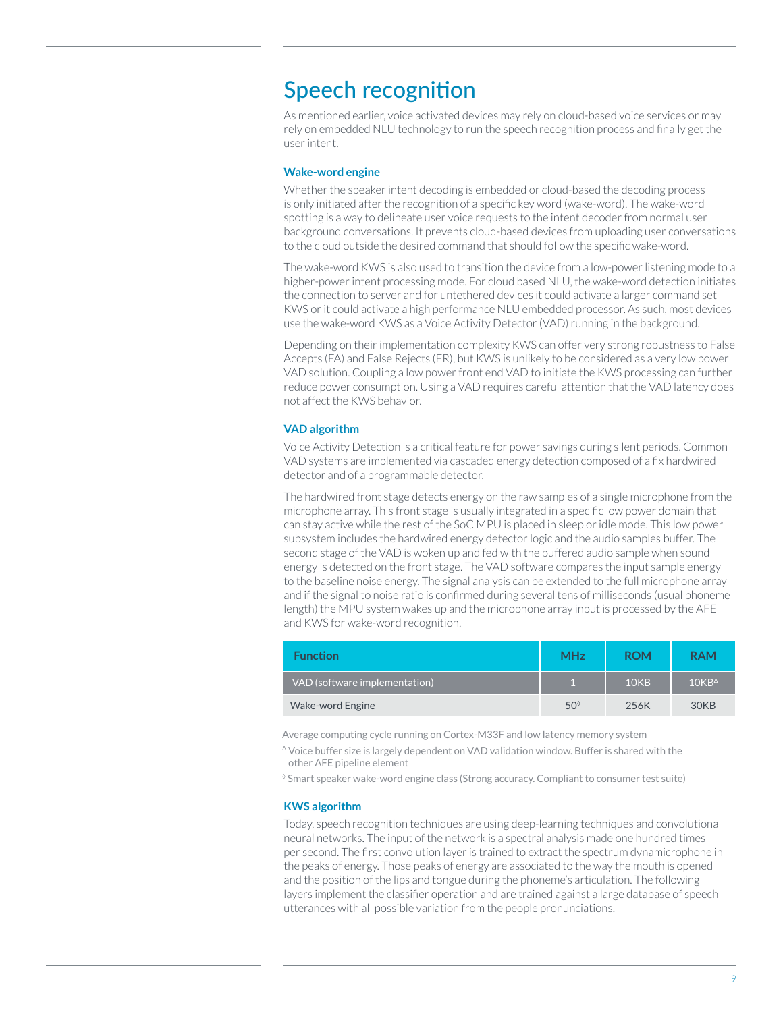### Speech recognition

As mentioned earlier, voice activated devices may rely on cloud-based voice services or may rely on embedded NLU technology to run the speech recognition process and finally get the user intent.

#### **Wake-word engine**

Whether the speaker intent decoding is embedded or cloud-based the decoding process is only initiated after the recognition of a specific key word (wake-word). The wake-word spotting is a way to delineate user voice requests to the intent decoder from normal user background conversations. It prevents cloud-based devices from uploading user conversations to the cloud outside the desired command that should follow the specific wake-word.

The wake-word KWS is also used to transition the device from a low-power listening mode to a higher-power intent processing mode. For cloud based NLU, the wake-word detection initiates the connection to server and for untethered devices it could activate a larger command set KWS or it could activate a high performance NLU embedded processor. As such, most devices use the wake-word KWS as a Voice Activity Detector (VAD) running in the background.

Depending on their implementation complexity KWS can offer very strong robustness to False Accepts (FA) and False Rejects (FR), but KWS is unlikely to be considered as a very low power VAD solution. Coupling a low power front end VAD to initiate the KWS processing can further reduce power consumption. Using a VAD requires careful attention that the VAD latency does not affect the KWS behavior.

#### **VAD algorithm**

Voice Activity Detection is a critical feature for power savings during silent periods. Common VAD systems are implemented via cascaded energy detection composed of a fix hardwired detector and of a programmable detector.

The hardwired front stage detects energy on the raw samples of a single microphone from the microphone array. This front stage is usually integrated in a specific low power domain that can stay active while the rest of the SoC MPU is placed in sleep or idle mode. This low power subsystem includes the hardwired energy detector logic and the audio samples buffer. The second stage of the VAD is woken up and fed with the buffered audio sample when sound energy is detected on the front stage. The VAD software compares the input sample energy to the baseline noise energy. The signal analysis can be extended to the full microphone array and if the signal to noise ratio is confirmed during several tens of milliseconds (usual phoneme length) the MPU system wakes up and the microphone array input is processed by the AFE and KWS for wake-word recognition.

| <b>Function</b>               | <b>MHz</b>   | <b>ROM</b>       | <b>RAM</b>      |
|-------------------------------|--------------|------------------|-----------------|
| VAD (software implementation) |              | 10 <sub>KB</sub> | $10KB^{\Delta}$ |
| <b>Wake-word Engine</b>       | $50^{\circ}$ | 256K             | 30KB            |

Average computing cycle running on Cortex-M33F and low latency memory system

<sup>∆</sup> Voice buffer size is largely dependent on VAD validation window. Buffer is shared with the other AFE pipeline element

◊ Smart speaker wake-word engine class (Strong accuracy. Compliant to consumer test suite)

#### **KWS algorithm**

Today, speech recognition techniques are using deep-learning techniques and convolutional neural networks. The input of the network is a spectral analysis made one hundred times per second. The first convolution layer is trained to extract the spectrum dynamicrophone in the peaks of energy. Those peaks of energy are associated to the way the mouth is opened and the position of the lips and tongue during the phoneme's articulation. The following layers implement the classifier operation and are trained against a large database of speech utterances with all possible variation from the people pronunciations.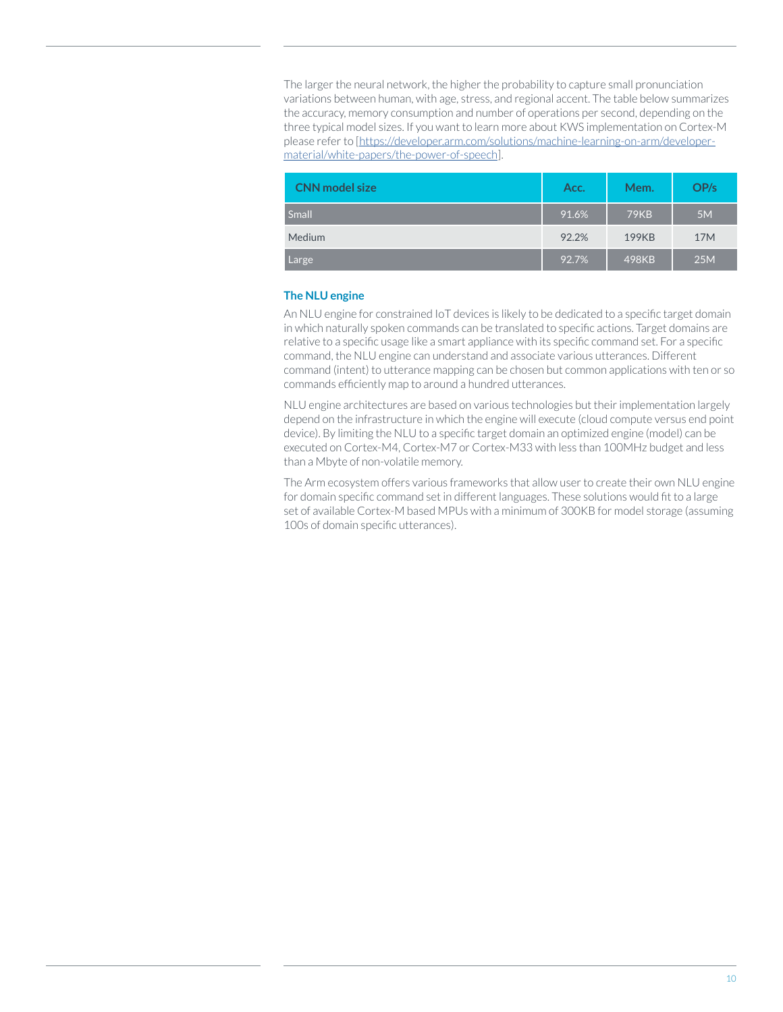The larger the neural network, the higher the probability to capture small pronunciation variations between human, with age, stress, and regional accent. The table below summarizes the accuracy, memory consumption and number of operations per second, depending on the three typical model sizes. If you want to learn more about KWS implementation on Cortex-M please refer to [https://developer.arm.com/solutions/machine-learning-on-arm/developermaterial/white-papers/the-power-of-speech].

| <b>CNN</b> model size | Acc.  | Mem.        | OP/s            |
|-----------------------|-------|-------------|-----------------|
| Small                 | 91.6% | <b>79KB</b> | 5M              |
| Medium                | 92.2% | 199KB       | 17 <sub>M</sub> |
| Large                 | 92.7% | 498KB       | 25M             |

#### **The NLU engine**

An NLU engine for constrained IoT devices is likely to be dedicated to a specific target domain in which naturally spoken commands can be translated to specific actions. Target domains are relative to a specific usage like a smart appliance with its specific command set. For a specific command, the NLU engine can understand and associate various utterances. Different command (intent) to utterance mapping can be chosen but common applications with ten or so commands efficiently map to around a hundred utterances.

NLU engine architectures are based on various technologies but their implementation largely depend on the infrastructure in which the engine will execute (cloud compute versus end point device). By limiting the NLU to a specific target domain an optimized engine (model) can be executed on Cortex-M4, Cortex-M7 or Cortex-M33 with less than 100MHz budget and less than a Mbyte of non-volatile memory.

The Arm ecosystem offers various frameworks that allow user to create their own NLU engine for domain specific command set in different languages. These solutions would fit to a large set of available Cortex-M based MPUs with a minimum of 300KB for model storage (assuming 100s of domain specific utterances).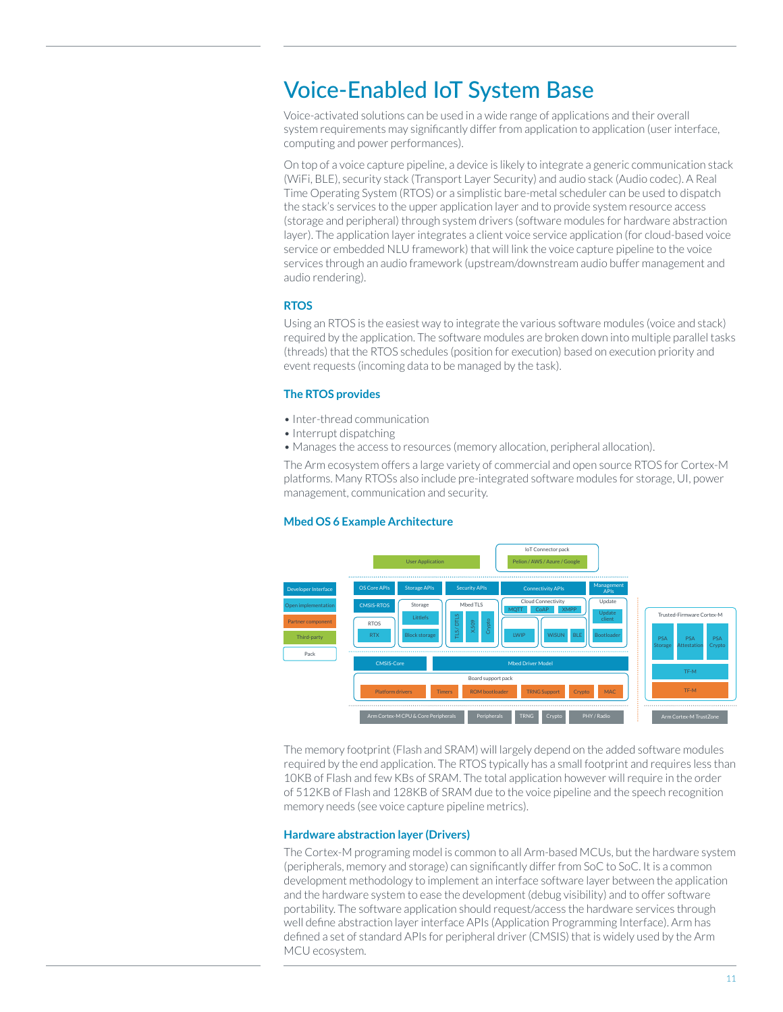### Voice-Enabled IoT System Base

Voice-activated solutions can be used in a wide range of applications and their overall system requirements may significantly differ from application to application (user interface, computing and power performances).

On top of a voice capture pipeline, a device is likely to integrate a generic communication stack (WiFi, BLE), security stack (Transport Layer Security) and audio stack (Audio codec). A Real Time Operating System (RTOS) or a simplistic bare-metal scheduler can be used to dispatch the stack's services to the upper application layer and to provide system resource access (storage and peripheral) through system drivers (software modules for hardware abstraction layer). The application layer integrates a client voice service application (for cloud-based voice service or embedded NLU framework) that will link the voice capture pipeline to the voice services through an audio framework (upstream/downstream audio buffer management and audio rendering).

#### **RTOS**

Using an RTOS is the easiest way to integrate the various software modules (voice and stack) required by the application. The software modules are broken down into multiple parallel tasks (threads) that the RTOS schedules (position for execution) based on execution priority and event requests (incoming data to be managed by the task).

#### **The RTOS provides**

- Inter-thread communication
- Interrupt dispatching
- Manages the access to resources (memory allocation, peripheral allocation).

The Arm ecosystem offers a large variety of commercial and open source RTOS for Cortex-M platforms. Many RTOSs also include pre-integrated software modules for storage, UI, power management, communication and security.

#### **Mbed OS 6 Example Architecture**



The memory footprint (Flash and SRAM) will largely depend on the added software modules required by the end application. The RTOS typically has a small footprint and requires less than 10KB of Flash and few KBs of SRAM. The total application however will require in the order of 512KB of Flash and 128KB of SRAM due to the voice pipeline and the speech recognition memory needs (see voice capture pipeline metrics).

#### **Hardware abstraction layer (Drivers)**

The Cortex-M programing model is common to all Arm-based MCUs, but the hardware system (peripherals, memory and storage) can significantly differ from SoC to SoC. It is a common development methodology to implement an interface software layer between the application and the hardware system to ease the development (debug visibility) and to offer software portability. The software application should request/access the hardware services through well define abstraction layer interface APIs (Application Programming Interface). Arm has defined a set of standard APIs for peripheral driver (CMSIS) that is widely used by the Arm MCU ecosystem.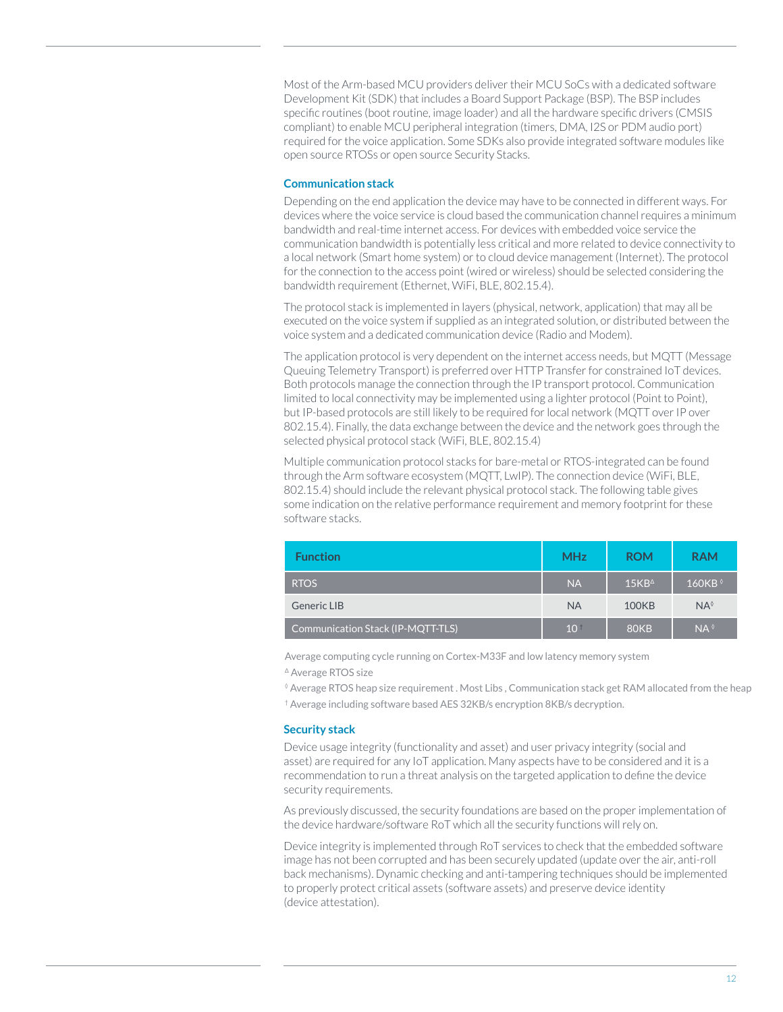Most of the Arm-based MCU providers deliver their MCU SoCs with a dedicated software Development Kit (SDK) that includes a Board Support Package (BSP). The BSP includes specific routines (boot routine, image loader) and all the hardware specific drivers (CMSIS compliant) to enable MCU peripheral integration (timers, DMA, I2S or PDM audio port) required for the voice application. Some SDKs also provide integrated software modules like open source RTOSs or open source Security Stacks.

#### **Communication stack**

Depending on the end application the device may have to be connected in different ways. For devices where the voice service is cloud based the communication channel requires a minimum bandwidth and real-time internet access. For devices with embedded voice service the communication bandwidth is potentially less critical and more related to device connectivity to a local network (Smart home system) or to cloud device management (Internet). The protocol for the connection to the access point (wired or wireless) should be selected considering the bandwidth requirement (Ethernet, WiFi, BLE, 802.15.4).

The protocol stack is implemented in layers (physical, network, application) that may all be executed on the voice system if supplied as an integrated solution, or distributed between the voice system and a dedicated communication device (Radio and Modem).

The application protocol is very dependent on the internet access needs, but MQTT (Message Queuing Telemetry Transport) is preferred over HTTP Transfer for constrained IoT devices. Both protocols manage the connection through the IP transport protocol. Communication limited to local connectivity may be implemented using a lighter protocol (Point to Point), but IP-based protocols are still likely to be required for local network (MQTT over IP over 802.15.4). Finally, the data exchange between the device and the network goes through the selected physical protocol stack (WiFi, BLE, 802.15.4)

Multiple communication protocol stacks for bare-metal or RTOS-integrated can be found through the Arm software ecosystem (MQTT, LwIP). The connection device (WiFi, BLE, 802.15.4) should include the relevant physical protocol stack. The following table gives some indication on the relative performance requirement and memory footprint for these software stacks.

| <b>Function</b>                   | <b>MHz</b>      | <b>ROM</b>      | <b>RAM</b>      |
|-----------------------------------|-----------------|-----------------|-----------------|
| <b>RTOS</b>                       | <b>NA</b>       | $15KB^{\Delta}$ | 160KB $\circ$   |
| Generic LIB                       | <b>NA</b>       | <b>100KB</b>    | $NA^{\lozenge}$ |
| Communication Stack (IP-MQTT-TLS) | 10 <sup>†</sup> | <b>80KB</b>     | $NA^{\lozenge}$ |

Average computing cycle running on Cortex-M33F and low latency memory system <sup>∆</sup> Average RTOS size

◊ Average RTOS heap size requirement . Most Libs , Communication stack get RAM allocated from the heap † Average including software based AES 32KB/s encryption 8KB/s decryption.

#### **Security stack**

Device usage integrity (functionality and asset) and user privacy integrity (social and asset) are required for any IoT application. Many aspects have to be considered and it is a recommendation to run a threat analysis on the targeted application to define the device security requirements.

As previously discussed, the security foundations are based on the proper implementation of the device hardware/software RoT which all the security functions will rely on.

Device integrity is implemented through RoT services to check that the embedded software image has not been corrupted and has been securely updated (update over the air, anti-roll back mechanisms). Dynamic checking and anti-tampering techniques should be implemented to properly protect critical assets (software assets) and preserve device identity (device attestation).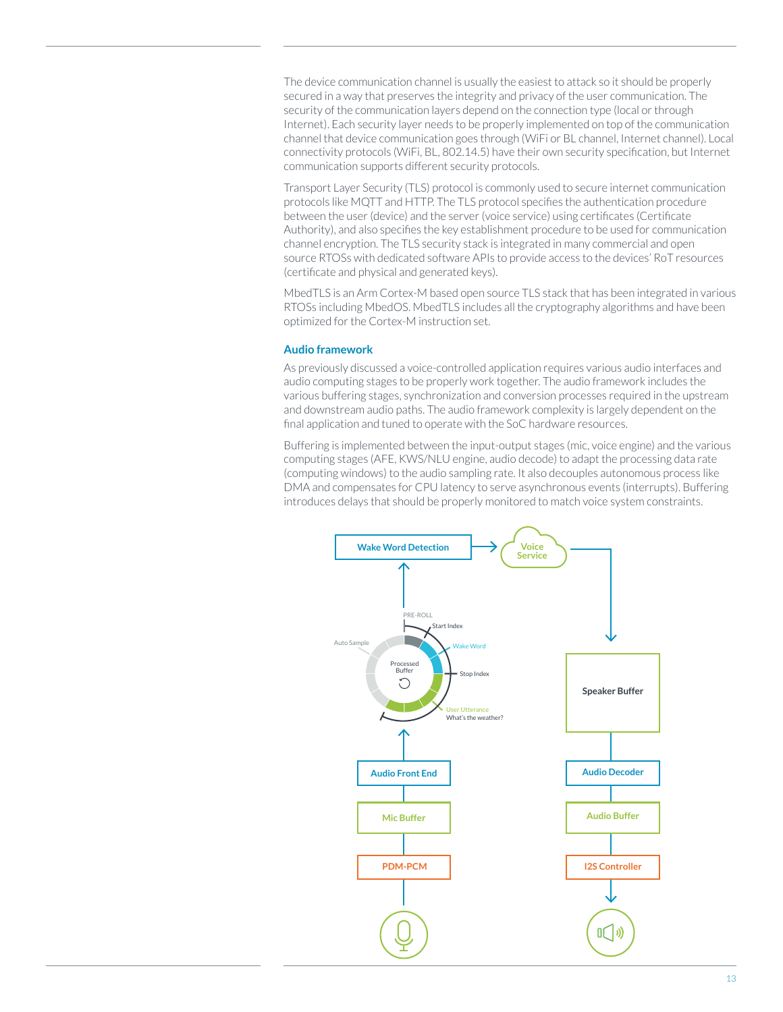The device communication channel is usually the easiest to attack so it should be properly secured in a way that preserves the integrity and privacy of the user communication. The security of the communication layers depend on the connection type (local or through Internet). Each security layer needs to be properly implemented on top of the communication channel that device communication goes through (WiFi or BL channel, Internet channel). Local connectivity protocols (WiFi, BL, 802.14.5) have their own security specification, but Internet communication supports different security protocols.

Transport Layer Security (TLS) protocol is commonly used to secure internet communication protocols like MQTT and HTTP. The TLS protocol specifies the authentication procedure between the user (device) and the server (voice service) using certificates (Certificate Authority), and also specifies the key establishment procedure to be used for communication channel encryption. The TLS security stack is integrated in many commercial and open source RTOSs with dedicated software APIs to provide access to the devices' RoT resources (certificate and physical and generated keys).

MbedTLS is an Arm Cortex-M based open source TLS stack that has been integrated in various RTOSs including MbedOS. MbedTLS includes all the cryptography algorithms and have been optimized for the Cortex-M instruction set.

#### **Audio framework**

As previously discussed a voice-controlled application requires various audio interfaces and audio computing stages to be properly work together. The audio framework includes the various buffering stages, synchronization and conversion processes required in the upstream and downstream audio paths. The audio framework complexity is largely dependent on the final application and tuned to operate with the SoC hardware resources.

Buffering is implemented between the input-output stages (mic, voice engine) and the various computing stages (AFE, KWS/NLU engine, audio decode) to adapt the processing data rate (computing windows) to the audio sampling rate. It also decouples autonomous process like DMA and compensates for CPU latency to serve asynchronous events (interrupts). Buffering introduces delays that should be properly monitored to match voice system constraints.

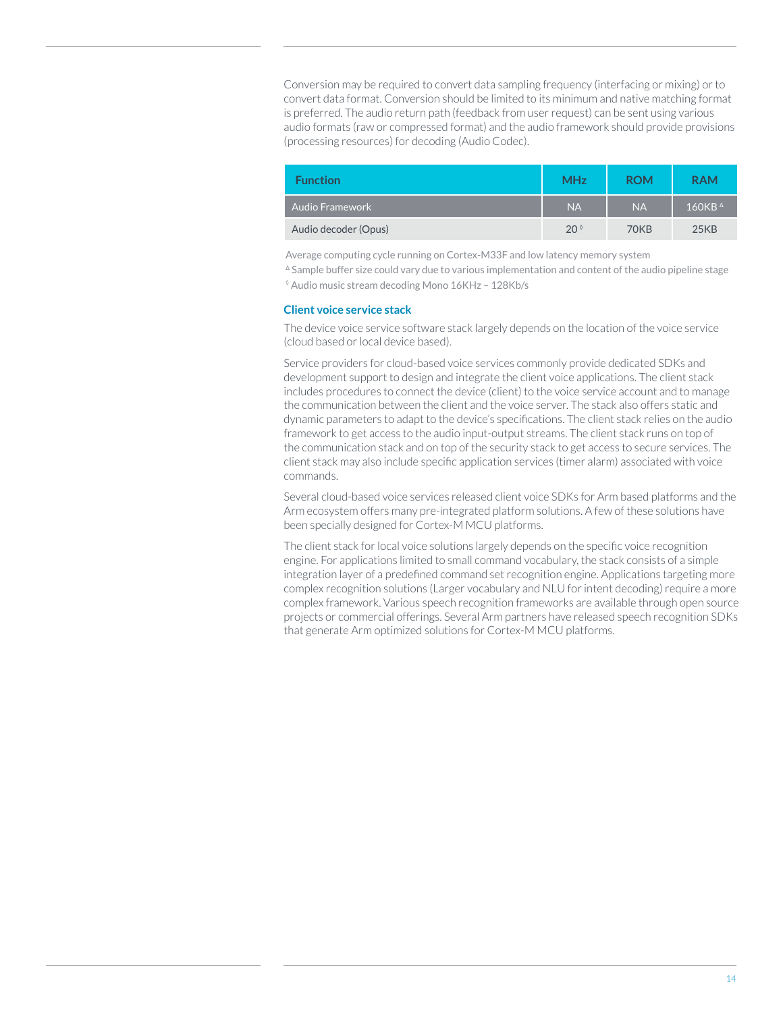Conversion may be required to convert data sampling frequency (interfacing or mixing) or to convert data format. Conversion should be limited to its minimum and native matching format is preferred. The audio return path (feedback from user request) can be sent using various audio formats (raw or compressed format) and the audio framework should provide provisions (processing resources) for decoding (Audio Codec).

| <b>Function</b>      | <b>MHz</b>   | <b>ROM</b>  | <b>RAM</b>       |
|----------------------|--------------|-------------|------------------|
| ' Audio Framework ,  | <b>NA</b>    | <b>NA</b>   | $160KB^{\Delta}$ |
| Audio decoder (Opus) | $20^{\circ}$ | <b>70KB</b> | 25KB             |

Average computing cycle running on Cortex-M33F and low latency memory system

<sup>∆</sup> Sample buffer size could vary due to various implementation and content of the audio pipeline stage ◊ Audio music stream decoding Mono 16KHz – 128Kb/s

#### **Client voice service stack**

The device voice service software stack largely depends on the location of the voice service (cloud based or local device based).

Service providers for cloud-based voice services commonly provide dedicated SDKs and development support to design and integrate the client voice applications. The client stack includes procedures to connect the device (client) to the voice service account and to manage the communication between the client and the voice server. The stack also offers static and dynamic parameters to adapt to the device's specifications. The client stack relies on the audio framework to get access to the audio input-output streams. The client stack runs on top of the communication stack and on top of the security stack to get access to secure services. The client stack may also include specific application services (timer alarm) associated with voice commands.

Several cloud-based voice services released client voice SDKs for Arm based platforms and the Arm ecosystem offers many pre-integrated platform solutions. A few of these solutions have been specially designed for Cortex-M MCU platforms.

The client stack for local voice solutions largely depends on the specific voice recognition engine. For applications limited to small command vocabulary, the stack consists of a simple integration layer of a predefined command set recognition engine. Applications targeting more complex recognition solutions (Larger vocabulary and NLU for intent decoding) require a more complex framework. Various speech recognition frameworks are available through open source projects or commercial offerings. Several Arm partners have released speech recognition SDKs that generate Arm optimized solutions for Cortex-M MCU platforms.